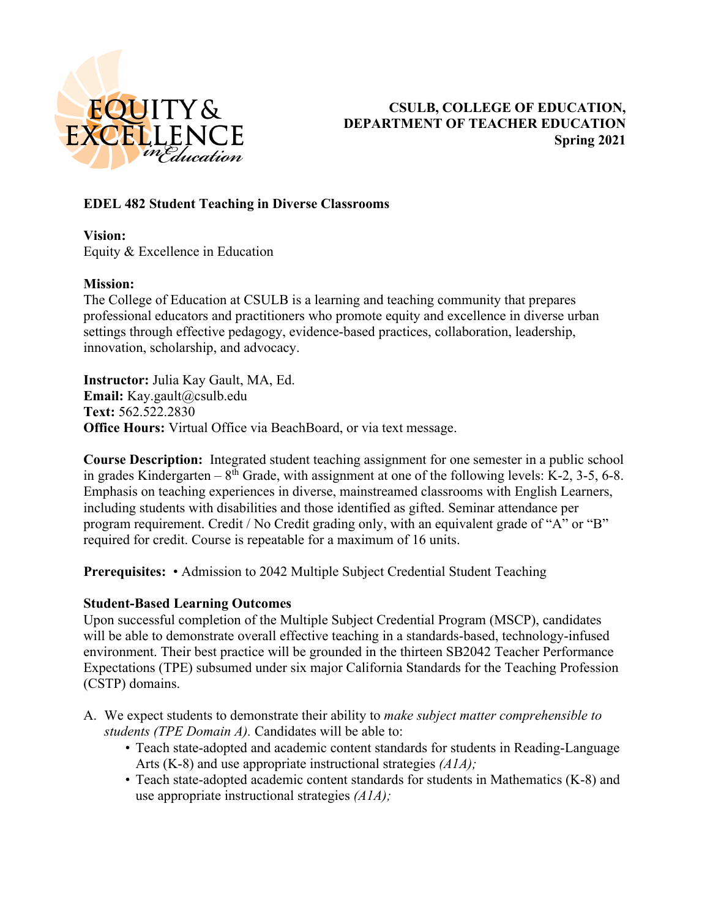

# **CSULB, COLLEGE OF EDUCATION, DEPARTMENT OF TEACHER EDUCATION Spring 2021**

## **EDEL 482 Student Teaching in Diverse Classrooms**

# **Vision:**

Equity & Excellence in Education

# **Mission:**

The College of Education at CSULB is a learning and teaching community that prepares professional educators and practitioners who promote equity and excellence in diverse urban settings through effective pedagogy, evidence-based practices, collaboration, leadership, innovation, scholarship, and advocacy.

**Instructor:** Julia Kay Gault, MA, Ed. **Email:** Kay.gault@csulb.edu **Text:** 562.522.2830 **Office Hours:** Virtual Office via BeachBoard, or via text message.

**Course Description:** Integrated student teaching assignment for one semester in a public school in grades Kindergarten –  $8<sup>th</sup>$  Grade, with assignment at one of the following levels: K-2, 3-5, 6-8. Emphasis on teaching experiences in diverse, mainstreamed classrooms with English Learners, including students with disabilities and those identified as gifted. Seminar attendance per program requirement. Credit / No Credit grading only, with an equivalent grade of "A" or "B" required for credit. Course is repeatable for a maximum of 16 units.

**Prerequisites:** • Admission to 2042 Multiple Subject Credential Student Teaching

## **Student-Based Learning Outcomes**

Upon successful completion of the Multiple Subject Credential Program (MSCP), candidates will be able to demonstrate overall effective teaching in a standards-based, technology-infused environment. Their best practice will be grounded in the thirteen SB2042 Teacher Performance Expectations (TPE) subsumed under six major California Standards for the Teaching Profession (CSTP) domains.

- A. We expect students to demonstrate their ability to *make subject matter comprehensible to students (TPE Domain A).* Candidates will be able to:
	- Teach state-adopted and academic content standards for students in Reading-Language Arts (K-8) and use appropriate instructional strategies *(A1A);*
	- Teach state-adopted academic content standards for students in Mathematics (K-8) and use appropriate instructional strategies *(A1A);*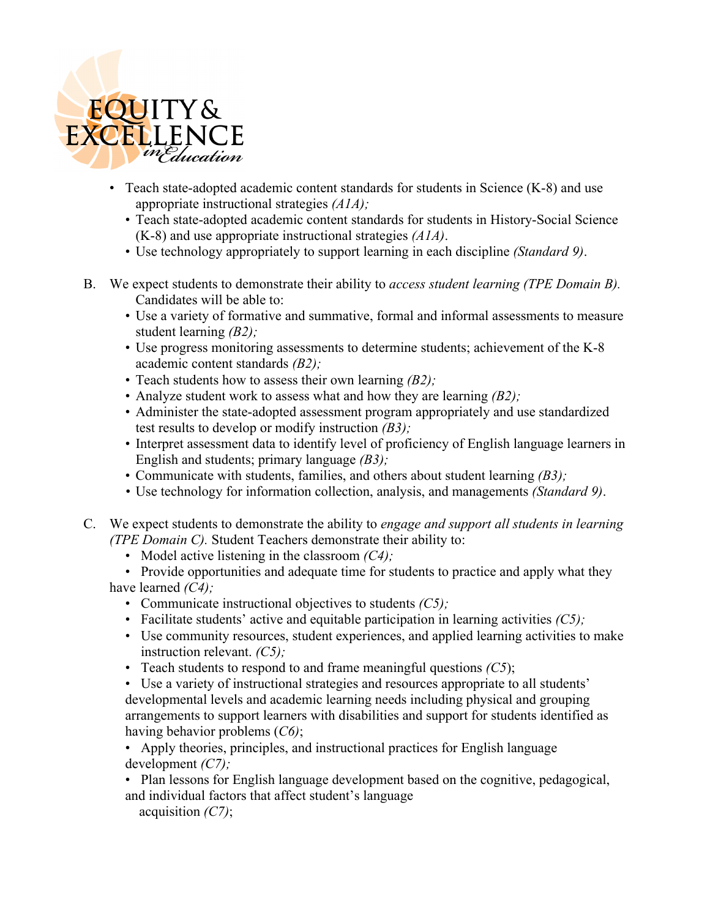

- Teach state-adopted academic content standards for students in Science (K-8) and use appropriate instructional strategies *(A1A);* 
	- Teach state-adopted academic content standards for students in History-Social Science (K-8) and use appropriate instructional strategies *(A1A)*.
	- Use technology appropriately to support learning in each discipline *(Standard 9)*.
- B. We expect students to demonstrate their ability to *access student learning (TPE Domain B).* Candidates will be able to:
	- Use a variety of formative and summative, formal and informal assessments to measure student learning *(B2);*
	- Use progress monitoring assessments to determine students; achievement of the K-8 academic content standards *(B2);*
	- Teach students how to assess their own learning *(B2);*
	- Analyze student work to assess what and how they are learning *(B2);*
	- Administer the state-adopted assessment program appropriately and use standardized test results to develop or modify instruction *(B3);*
	- Interpret assessment data to identify level of proficiency of English language learners in English and students; primary language *(B3);*
	- Communicate with students, families, and others about student learning *(B3);*
	- *•* Use technology for information collection, analysis, and managements *(Standard 9)*.
- C. We expect students to demonstrate the ability to *engage and support all students in learning (TPE Domain C).* Student Teachers demonstrate their ability to:
	- Model active listening in the classroom *(C4);*

• Provide opportunities and adequate time for students to practice and apply what they have learned *(C4);*

- Communicate instructional objectives to students *(C5);*
- Facilitate students' active and equitable participation in learning activities *(C5);*
- Use community resources, student experiences, and applied learning activities to make instruction relevant. *(C5);*
- Teach students to respond to and frame meaningful questions *(C5*);
- Use a variety of instructional strategies and resources appropriate to all students' developmental levels and academic learning needs including physical and grouping arrangements to support learners with disabilities and support for students identified as having behavior problems (*C6)*;

• Apply theories, principles, and instructional practices for English language development *(C7);*

• Plan lessons for English language development based on the cognitive, pedagogical, and individual factors that affect student's language

acquisition *(C7)*;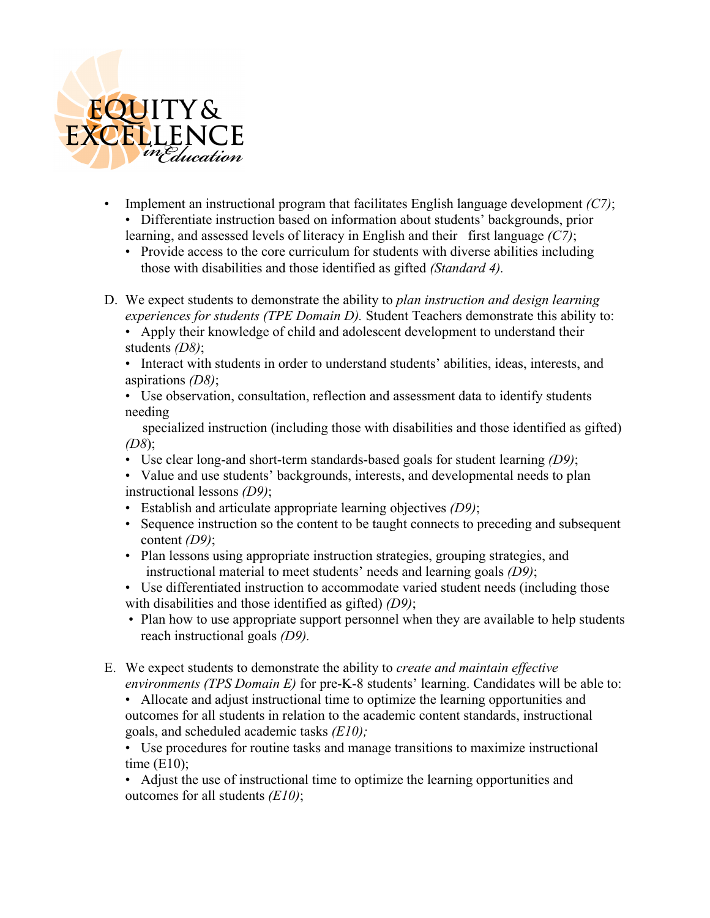

- Implement an instructional program that facilitates English language development *(C7)*; • Differentiate instruction based on information about students' backgrounds, prior
	- learning, and assessed levels of literacy in English and their first language *(C7)*;
	- Provide access to the core curriculum for students with diverse abilities including those with disabilities and those identified as gifted *(Standard 4).*
- D. We expect students to demonstrate the ability to *plan instruction and design learning experiences for students (TPE Domain D).* Student Teachers demonstrate this ability to:
	- Apply their knowledge of child and adolescent development to understand their students *(D8)*;
	- Interact with students in order to understand students' abilities, ideas, interests, and aspirations *(D8)*;
	- Use observation, consultation, reflection and assessment data to identify students needing

 specialized instruction (including those with disabilities and those identified as gifted) *(D8*);

- Use clear long-and short-term standards-based goals for student learning *(D9)*;
- Value and use students' backgrounds, interests, and developmental needs to plan instructional lessons *(D9)*;
- Establish and articulate appropriate learning objectives *(D9)*;
- Sequence instruction so the content to be taught connects to preceding and subsequent content *(D9)*;
- Plan lessons using appropriate instruction strategies, grouping strategies, and instructional material to meet students' needs and learning goals *(D9)*;
- Use differentiated instruction to accommodate varied student needs (including those with disabilities and those identified as gifted) *(D9)*;
- Plan how to use appropriate support personnel when they are available to help students reach instructional goals *(D9).*
- E. We expect students to demonstrate the ability to *create and maintain effective*

*environments (TPS Domain E)* for pre-K-8 students' learning. Candidates will be able to:

• Allocate and adjust instructional time to optimize the learning opportunities and outcomes for all students in relation to the academic content standards, instructional goals, and scheduled academic tasks *(E10);*

• Use procedures for routine tasks and manage transitions to maximize instructional time  $(E10)$ ;

• Adjust the use of instructional time to optimize the learning opportunities and outcomes for all students *(E10)*;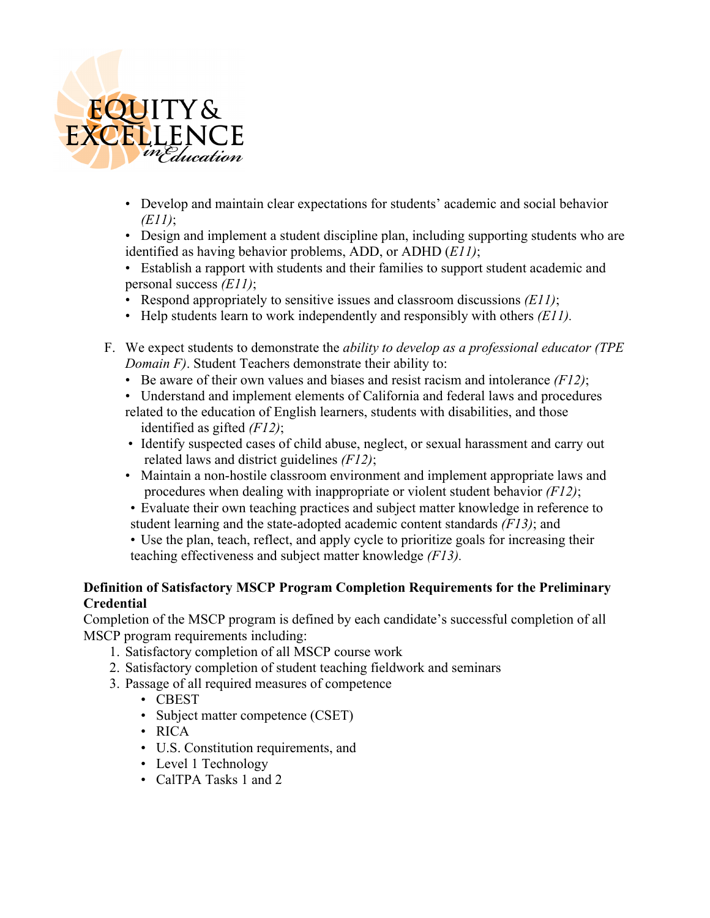

• Develop and maintain clear expectations for students' academic and social behavior *(E11)*;

• Design and implement a student discipline plan, including supporting students who are identified as having behavior problems, ADD, or ADHD (*E11)*;

• Establish a rapport with students and their families to support student academic and personal success *(E11)*;

• Respond appropriately to sensitive issues and classroom discussions *(E11)*;

• Help students learn to work independently and responsibly with others *(E11).*

- F. We expect students to demonstrate the *ability to develop as a professional educator (TPE Domain F)*. Student Teachers demonstrate their ability to:
	- Be aware of their own values and biases and resist racism and intolerance *(F12)*;
	- Understand and implement elements of California and federal laws and procedures related to the education of English learners, students with disabilities, and those

identified as gifted *(F12)*;

- Identify suspected cases of child abuse, neglect, or sexual harassment and carry out related laws and district guidelines *(F12)*;
- Maintain a non-hostile classroom environment and implement appropriate laws and procedures when dealing with inappropriate or violent student behavior *(F12)*;
- Evaluate their own teaching practices and subject matter knowledge in reference to student learning and the state-adopted academic content standards *(F13)*; and

• Use the plan, teach, reflect, and apply cycle to prioritize goals for increasing their teaching effectiveness and subject matter knowledge *(F13).*

# **Definition of Satisfactory MSCP Program Completion Requirements for the Preliminary Credential**

Completion of the MSCP program is defined by each candidate's successful completion of all MSCP program requirements including:

- 1. Satisfactory completion of all MSCP course work
- 2. Satisfactory completion of student teaching fieldwork and seminars
- 3. Passage of all required measures of competence
	- CBEST
	- Subject matter competence (CSET)
	- RICA
	- U.S. Constitution requirements, and
	- Level 1 Technology
	- CalTPA Tasks 1 and 2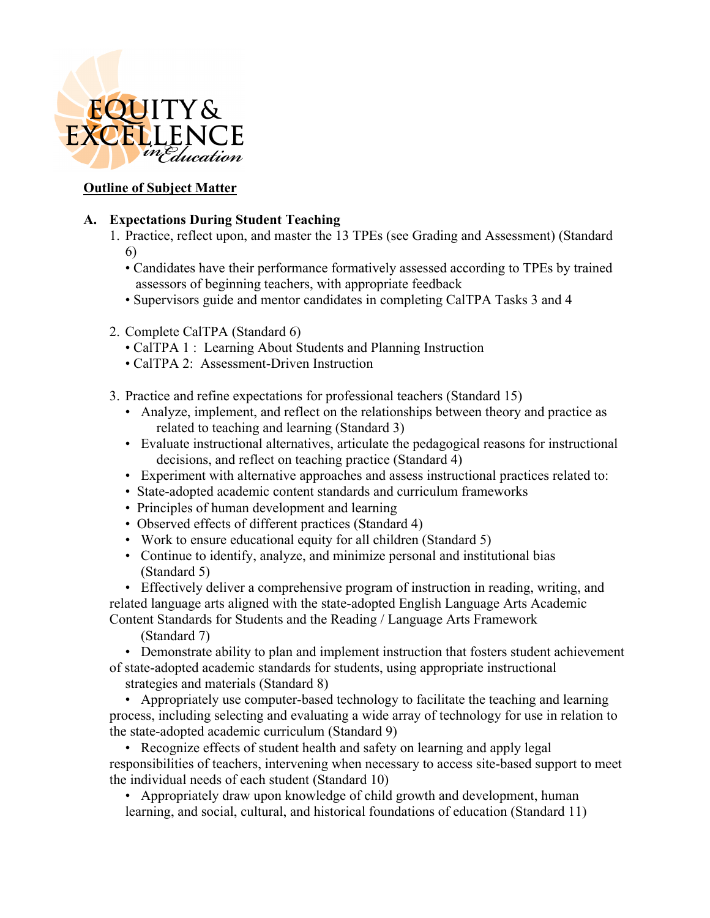

# **Outline of Subject Matter**

## **A. Expectations During Student Teaching**

- 1. Practice, reflect upon, and master the 13 TPEs (see Grading and Assessment) (Standard 6)
	- Candidates have their performance formatively assessed according to TPEs by trained assessors of beginning teachers, with appropriate feedback
	- Supervisors guide and mentor candidates in completing CalTPA Tasks 3 and 4
- 2. Complete CalTPA (Standard 6)
	- CalTPA 1 : Learning About Students and Planning Instruction
	- CalTPA 2: Assessment-Driven Instruction
- 3. Practice and refine expectations for professional teachers (Standard 15)
	- Analyze, implement, and reflect on the relationships between theory and practice as related to teaching and learning (Standard 3)
	- Evaluate instructional alternatives, articulate the pedagogical reasons for instructional decisions, and reflect on teaching practice (Standard 4)
	- Experiment with alternative approaches and assess instructional practices related to:
	- State-adopted academic content standards and curriculum frameworks
	- Principles of human development and learning
	- Observed effects of different practices (Standard 4)
	- Work to ensure educational equity for all children (Standard 5)
	- Continue to identify, analyze, and minimize personal and institutional bias (Standard 5)

• Effectively deliver a comprehensive program of instruction in reading, writing, and related language arts aligned with the state-adopted English Language Arts Academic

Content Standards for Students and the Reading / Language Arts Framework (Standard 7)

• Demonstrate ability to plan and implement instruction that fosters student achievement of state-adopted academic standards for students, using appropriate instructional

strategies and materials (Standard 8)

• Appropriately use computer-based technology to facilitate the teaching and learning process, including selecting and evaluating a wide array of technology for use in relation to the state-adopted academic curriculum (Standard 9)

• Recognize effects of student health and safety on learning and apply legal responsibilities of teachers, intervening when necessary to access site-based support to meet the individual needs of each student (Standard 10)

• Appropriately draw upon knowledge of child growth and development, human learning, and social, cultural, and historical foundations of education (Standard 11)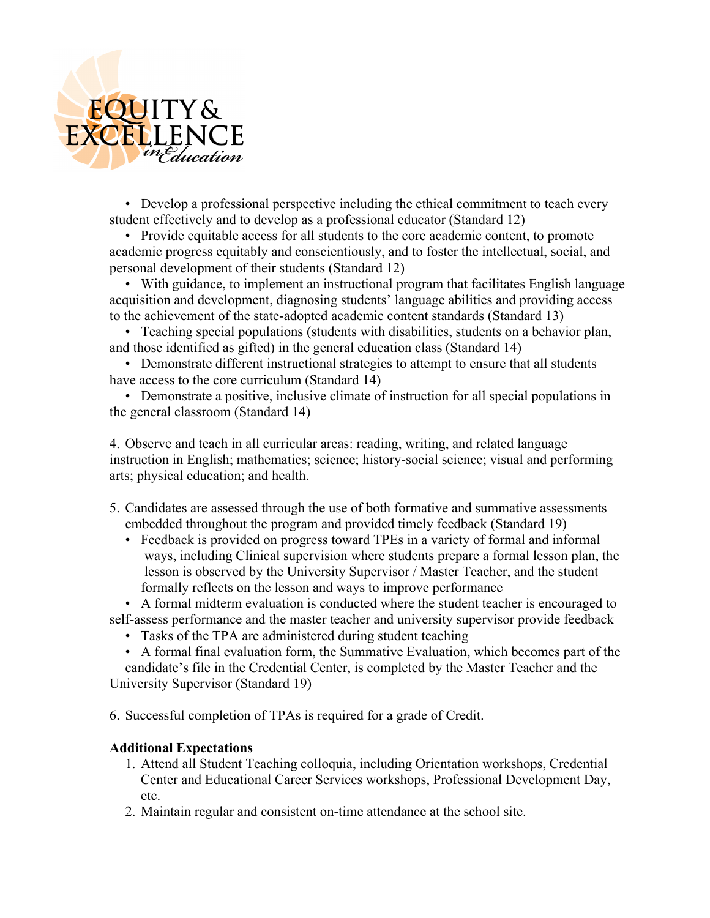

• Develop a professional perspective including the ethical commitment to teach every student effectively and to develop as a professional educator (Standard 12)

• Provide equitable access for all students to the core academic content, to promote academic progress equitably and conscientiously, and to foster the intellectual, social, and personal development of their students (Standard 12)

• With guidance, to implement an instructional program that facilitates English language acquisition and development, diagnosing students' language abilities and providing access to the achievement of the state-adopted academic content standards (Standard 13)

• Teaching special populations (students with disabilities, students on a behavior plan, and those identified as gifted) in the general education class (Standard 14)

• Demonstrate different instructional strategies to attempt to ensure that all students have access to the core curriculum (Standard 14)

• Demonstrate a positive, inclusive climate of instruction for all special populations in the general classroom (Standard 14)

4. Observe and teach in all curricular areas: reading, writing, and related language instruction in English; mathematics; science; history-social science; visual and performing arts; physical education; and health.

- 5. Candidates are assessed through the use of both formative and summative assessments embedded throughout the program and provided timely feedback (Standard 19)
	- Feedback is provided on progress toward TPEs in a variety of formal and informal ways, including Clinical supervision where students prepare a formal lesson plan, the lesson is observed by the University Supervisor / Master Teacher, and the student formally reflects on the lesson and ways to improve performance

• A formal midterm evaluation is conducted where the student teacher is encouraged to self-assess performance and the master teacher and university supervisor provide feedback

• Tasks of the TPA are administered during student teaching

• A formal final evaluation form, the Summative Evaluation, which becomes part of the

candidate's file in the Credential Center, is completed by the Master Teacher and the University Supervisor (Standard 19)

6. Successful completion of TPAs is required for a grade of Credit.

## **Additional Expectations**

- 1. Attend all Student Teaching colloquia, including Orientation workshops, Credential Center and Educational Career Services workshops, Professional Development Day, etc.
- 2. Maintain regular and consistent on-time attendance at the school site.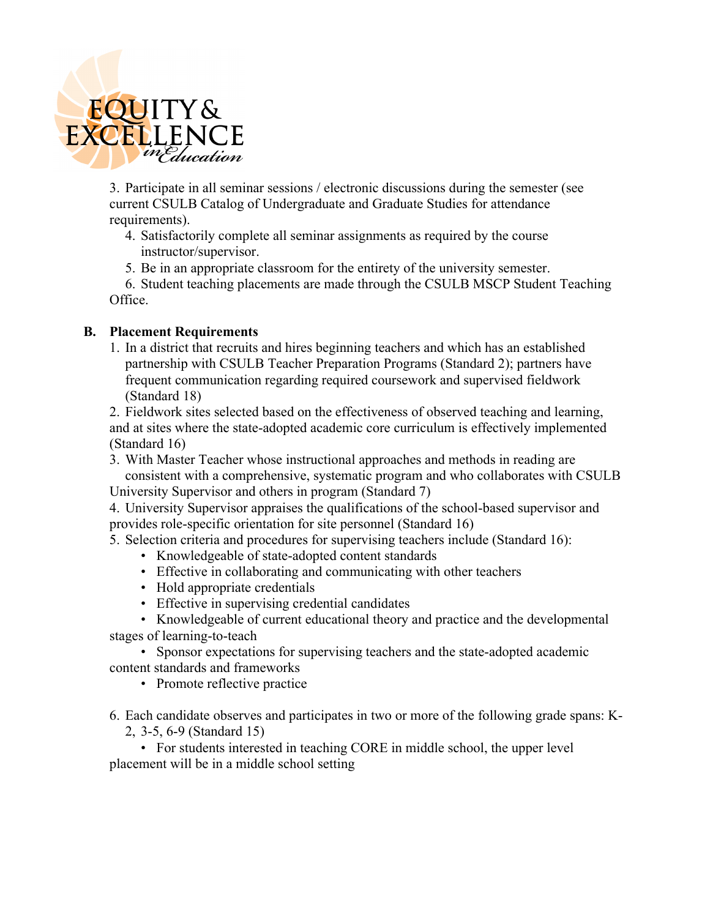

3. Participate in all seminar sessions / electronic discussions during the semester (see current CSULB Catalog of Undergraduate and Graduate Studies for attendance requirements).

- 4. Satisfactorily complete all seminar assignments as required by the course instructor/supervisor.
- 5. Be in an appropriate classroom for the entirety of the university semester.

6. Student teaching placements are made through the CSULB MSCP Student Teaching Office.

# **B. Placement Requirements**

1. In a district that recruits and hires beginning teachers and which has an established partnership with CSULB Teacher Preparation Programs (Standard 2); partners have frequent communication regarding required coursework and supervised fieldwork (Standard 18)

2. Fieldwork sites selected based on the effectiveness of observed teaching and learning, and at sites where the state-adopted academic core curriculum is effectively implemented (Standard 16)

3. With Master Teacher whose instructional approaches and methods in reading are consistent with a comprehensive, systematic program and who collaborates with CSULB University Supervisor and others in program (Standard 7)

4. University Supervisor appraises the qualifications of the school-based supervisor and provides role-specific orientation for site personnel (Standard 16)

5. Selection criteria and procedures for supervising teachers include (Standard 16):

- Knowledgeable of state-adopted content standards
- Effective in collaborating and communicating with other teachers
- Hold appropriate credentials
- Effective in supervising credential candidates

• Knowledgeable of current educational theory and practice and the developmental stages of learning-to-teach

• Sponsor expectations for supervising teachers and the state-adopted academic content standards and frameworks

• Promote reflective practice

6. Each candidate observes and participates in two or more of the following grade spans: K-2, 3-5, 6-9 (Standard 15)

• For students interested in teaching CORE in middle school, the upper level placement will be in a middle school setting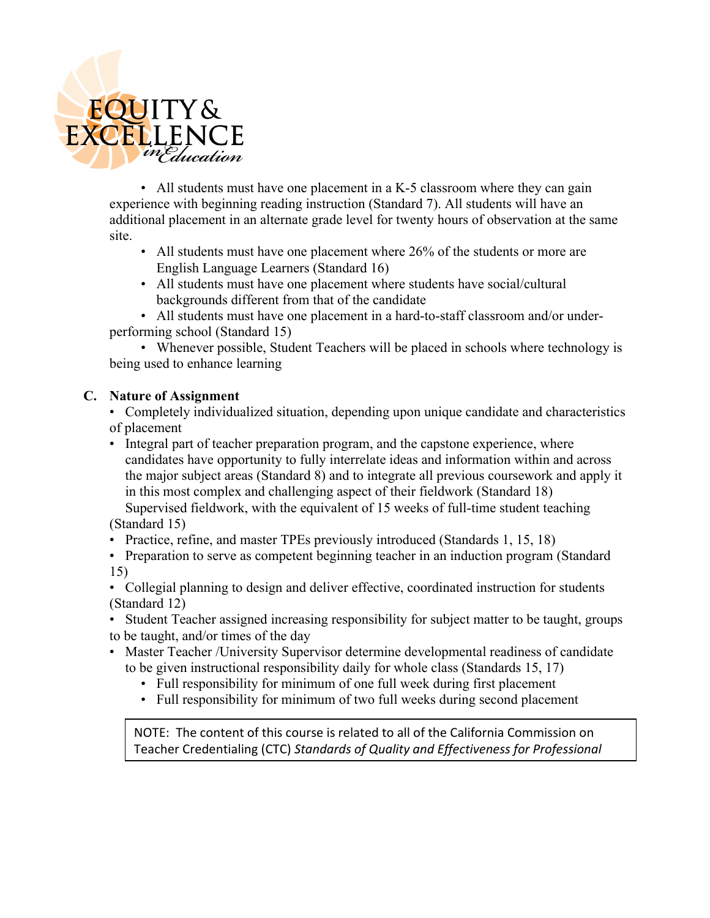

• All students must have one placement in a K-5 classroom where they can gain experience with beginning reading instruction (Standard 7). All students will have an additional placement in an alternate grade level for twenty hours of observation at the same site.

- All students must have one placement where 26% of the students or more are English Language Learners (Standard 16)
- All students must have one placement where students have social/cultural backgrounds different from that of the candidate

• All students must have one placement in a hard-to-staff classroom and/or underperforming school (Standard 15)

• Whenever possible, Student Teachers will be placed in schools where technology is being used to enhance learning

# **C. Nature of Assignment**

• Completely individualized situation, depending upon unique candidate and characteristics of placement

• Integral part of teacher preparation program, and the capstone experience, where candidates have opportunity to fully interrelate ideas and information within and across the major subject areas (Standard 8) and to integrate all previous coursework and apply it in this most complex and challenging aspect of their fieldwork (Standard 18) Supervised fieldwork, with the equivalent of 15 weeks of full-time student teaching

(Standard 15)

- Practice, refine, and master TPEs previously introduced (Standards 1, 15, 18)
- Preparation to serve as competent beginning teacher in an induction program (Standard 15)

• Collegial planning to design and deliver effective, coordinated instruction for students (Standard 12)

• Student Teacher assigned increasing responsibility for subject matter to be taught, groups to be taught, and/or times of the day

- Master Teacher /University Supervisor determine developmental readiness of candidate to be given instructional responsibility daily for whole class (Standards 15, 17)
	- Full responsibility for minimum of one full week during first placement
	- Full responsibility for minimum of two full weeks during second placement

NOTE: The content of this course is related to all of the California Commission on Teacher Credentialing (CTC) *Standards of Quality and Effectiveness for Professional*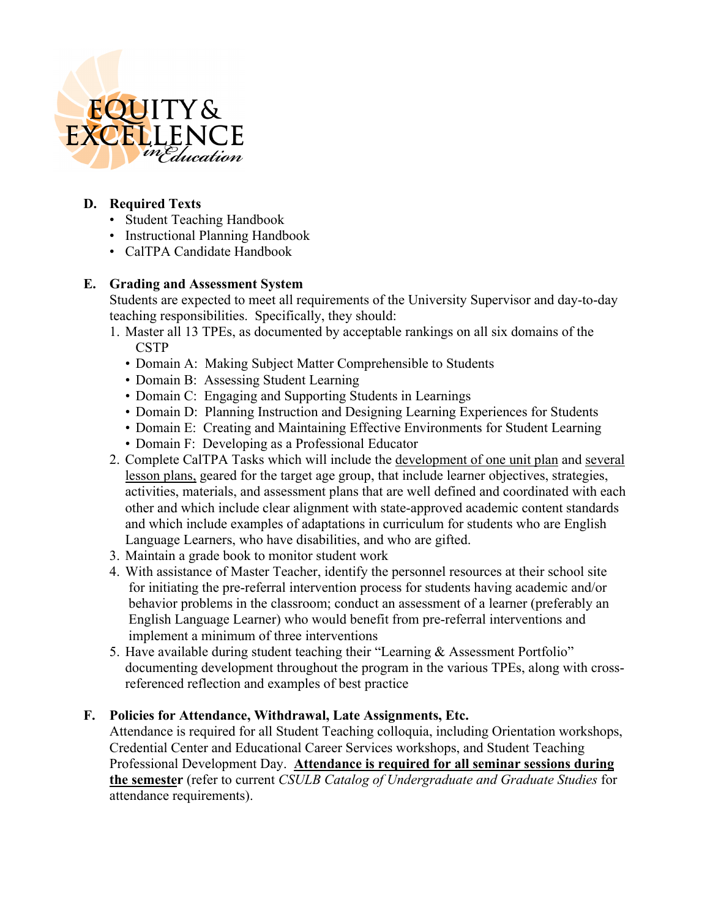

# **D. Required Texts**

- Student Teaching Handbook
- Instructional Planning Handbook
- CalTPA Candidate Handbook

# **E. Grading and Assessment System**

Students are expected to meet all requirements of the University Supervisor and day-to-day teaching responsibilities. Specifically, they should:

- 1. Master all 13 TPEs, as documented by acceptable rankings on all six domains of the **CSTP** 
	- Domain A: Making Subject Matter Comprehensible to Students
	- Domain B: Assessing Student Learning
	- Domain C: Engaging and Supporting Students in Learnings
	- Domain D: Planning Instruction and Designing Learning Experiences for Students
	- Domain E: Creating and Maintaining Effective Environments for Student Learning
	- Domain F: Developing as a Professional Educator
- 2. Complete CalTPA Tasks which will include the development of one unit plan and several lesson plans, geared for the target age group, that include learner objectives, strategies, activities, materials, and assessment plans that are well defined and coordinated with each other and which include clear alignment with state-approved academic content standards and which include examples of adaptations in curriculum for students who are English Language Learners, who have disabilities, and who are gifted.
- 3. Maintain a grade book to monitor student work
- 4. With assistance of Master Teacher, identify the personnel resources at their school site for initiating the pre-referral intervention process for students having academic and/or behavior problems in the classroom; conduct an assessment of a learner (preferably an English Language Learner) who would benefit from pre-referral interventions and implement a minimum of three interventions
- 5. Have available during student teaching their "Learning & Assessment Portfolio" documenting development throughout the program in the various TPEs, along with crossreferenced reflection and examples of best practice

# **F. Policies for Attendance, Withdrawal, Late Assignments, Etc.**

Attendance is required for all Student Teaching colloquia, including Orientation workshops, Credential Center and Educational Career Services workshops, and Student Teaching Professional Development Day. **Attendance is required for all seminar sessions during the semester** (refer to current *CSULB Catalog of Undergraduate and Graduate Studies* for attendance requirements).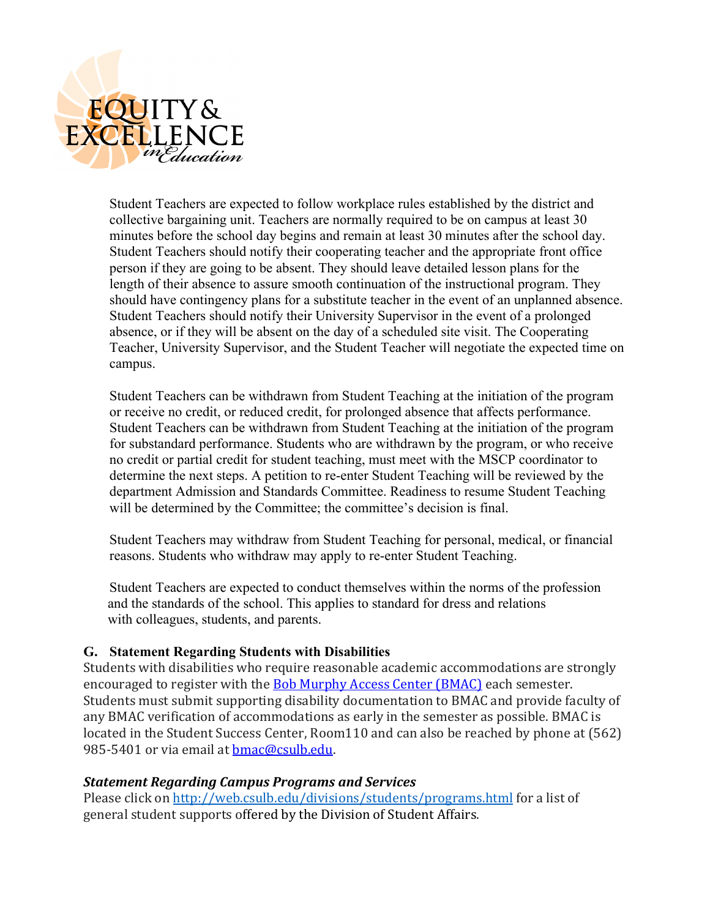

Student Teachers are expected to follow workplace rules established by the district and collective bargaining unit. Teachers are normally required to be on campus at least 30 minutes before the school day begins and remain at least 30 minutes after the school day. Student Teachers should notify their cooperating teacher and the appropriate front office person if they are going to be absent. They should leave detailed lesson plans for the length of their absence to assure smooth continuation of the instructional program. They should have contingency plans for a substitute teacher in the event of an unplanned absence. Student Teachers should notify their University Supervisor in the event of a prolonged absence, or if they will be absent on the day of a scheduled site visit. The Cooperating Teacher, University Supervisor, and the Student Teacher will negotiate the expected time on campus.

Student Teachers can be withdrawn from Student Teaching at the initiation of the program or receive no credit, or reduced credit, for prolonged absence that affects performance. Student Teachers can be withdrawn from Student Teaching at the initiation of the program for substandard performance. Students who are withdrawn by the program, or who receive no credit or partial credit for student teaching, must meet with the MSCP coordinator to determine the next steps. A petition to re-enter Student Teaching will be reviewed by the department Admission and Standards Committee. Readiness to resume Student Teaching will be determined by the Committee; the committee's decision is final.

Student Teachers may withdraw from Student Teaching for personal, medical, or financial reasons. Students who withdraw may apply to re-enter Student Teaching.

Student Teachers are expected to conduct themselves within the norms of the profession and the standards of the school. This applies to standard for dress and relations with colleagues, students, and parents.

## **G. Statement Regarding Students with Disabilities**

Students with disabilities who require reasonable academic accommodations are strongly encouraged to register with the [Bob Murphy Access Center \(BMAC\)](http://web.csulb.edu/divisions/students/dss/) each semester. Students must submit supporting disability documentation to BMAC and provide faculty of any BMAC verification of accommodations as early in the semester as possible. BMAC is located in the Student Success Center, Room110 and can also be reached by phone at (562) 985-5401 or via email at [bmac@csulb.edu.](mailto:bmac@csulb.edu)

## *Statement Regarding Campus Programs and Services*

Please click on <http://web.csulb.edu/divisions/students/programs.html> for a list of general student supports offered by the Division of Student Affairs.